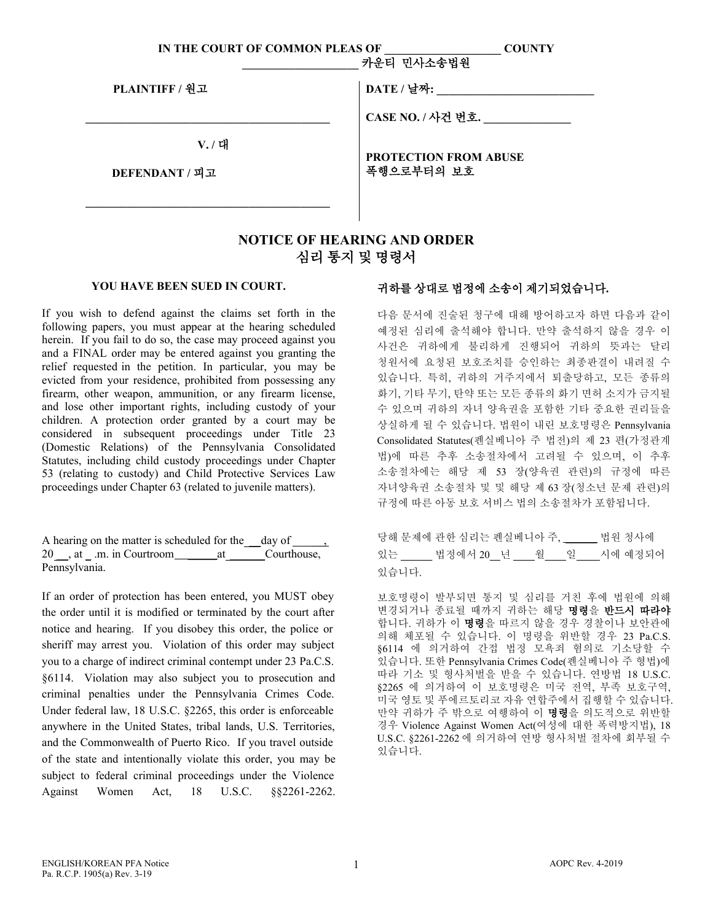| IN THE COURT OF COMMON PLEAS OF | <b>COUNTY</b><br>카운티 민사소송법원  |
|---------------------------------|------------------------------|
| PLAINTIFF / 원고                  | DATE / 날짜:                   |
|                                 | CASE NO. / 사건 번호.            |
| V. / 대                          | <b>PROTECTION FROM ABUSE</b> |
| DEFENDANT / 피고                  | 폭행으로부터의 보호                   |
|                                 |                              |

## **NOTICE OF HEARING AND ORDER** 심리 통지 및 명령서

## **YOU HAVE BEEN SUED IN COURT.**

If you wish to defend against the claims set forth in the following papers, you must appear at the hearing scheduled herein. If you fail to do so, the case may proceed against you and a FINAL order may be entered against you granting the relief requested in the petition. In particular, you may be evicted from your residence, prohibited from possessing any firearm, other weapon, ammunition, or any firearm license, and lose other important rights, including custody of your children. A protection order granted by a court may be considered in subsequent proceedings under Title 23 (Domestic Relations) of the Pennsylvania Consolidated Statutes, including child custody proceedings under Chapter 53 (relating to custody) and Child Protective Services Law proceedings under Chapter 63 (related to juvenile matters).

| 20, at .m. in Courtroom at Courthouse, |  |  |
|----------------------------------------|--|--|
| Pennsylvania.                          |  |  |

If an order of protection has been entered, you MUST obey the order until it is modified or terminated by the court after notice and hearing. If you disobey this order, the police or sheriff may arrest you. Violation of this order may subject you to a charge of indirect criminal contempt under 23 Pa.C.S. §6114. Violation may also subject you to prosecution and criminal penalties under the Pennsylvania Crimes Code. Under federal law, 18 U.S.C. §2265, this order is enforceable anywhere in the United States, tribal lands, U.S. Territories, and the Commonwealth of Puerto Rico. If you travel outside of the state and intentionally violate this order, you may be subject to federal criminal proceedings under the Violence Against Women Act, 18 U.S.C. §§2261-2262.

## 귀하를 상대로 법정에 소송이 제기되었습니다**.**

다음 문서에 진술된 청구에 대해 방어하고자 하면 다음과 같이 예정된 심리에 출석해야 합니다. 만약 출석하지 않을 경우 이 사건은 귀하에게 불리하게 진행되어 귀하의 뜻과는 달리 청원서에 요청된 보호조치를 승인하는 최종판결이 내려질 수 있습니다. 특히, 귀하의 거주지에서 퇴출당하고, 모든 종류의 화기, 기타 무기, 탄약 또는 모든 종류의 화기 면허 소지가 금지될 수 있으며 귀하의 자녀 양육권을 포함한 기타 중요한 권리들을 상실하게 될 수 있습니다. 법원이 내린 보호명령은 Pennsylvania Consolidated Statutes(펜실베니아 주 법전)의 제 23 편(가정관계 법)에 따른 추후 소송절차에서 고려될 수 있으며, 이 추후 소송절차에는 해당 제 53 장(양육권 관련)의 규정에 따른 자녀양육권 소송절차 및 및 해당 제 63 장(청소년 문제 관련)의 규정에 따른 아동 보호 서비스 법의 소송절차가 포함됩니다.

|       | 당해 문제에 관한 심리는 펜실베니아 주, _____ 법원 청사에 |  |                                               |
|-------|-------------------------------------|--|-----------------------------------------------|
|       |                                     |  | 있는 ______ 법정에서 20__년 ____월____일 ____시에 예정되어 _ |
| 있습니다. |                                     |  |                                               |

보호명령이 발부되면 통지 및 심리를 거친 후에 법원에 의해 변경되거나 종료될 때까지 귀하는 해당 명령을 반드시 따라야 합니다. 귀하가 이 명령을 따르지 않을 경우 경찰이나 보안관에 의해 체포될 수 있습니다. 이 명령을 위반할 경우 23 Pa.C.S. §6114 에 의거하여 간접 법정 모욕죄 혐의로 기소당할 수 있습니다. 또한 Pennsylvania Crimes Code(펜실베니아 주 형법)에 따라 기소 및 형사처벌을 받을 수 있습니다. 연방법 18 U.S.C. §2265 에 의거하여 이 보호명령은 미국 전역, 부족 보호구역, 미국 영토 및 푸에르토리코 자유 연합주에서 집행할 수 있습니다. 만약 귀하가 주 밖으로 여행하여 이 명령을 의도적으로 위반할 경우 Violence Against Women Act(여성에 대한 폭력방지법), 18 U.S.C. §2261-2262 에 의거하여 연방 형사처벌 절차에 회부될 수 있습니다.